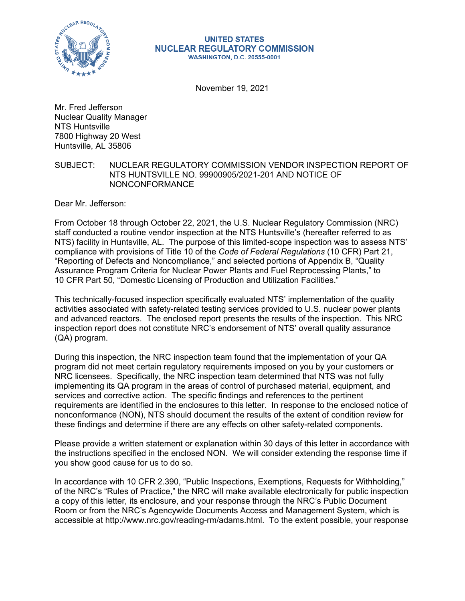

#### **UNITED STATES NUCLEAR REGULATORY COMMISSION WASHINGTON, D.C. 20555-0001**

November 19, 2021

Mr. Fred Jefferson Nuclear Quality Manager NTS Huntsville 7800 Highway 20 West Huntsville, AL 35806

# SUBJECT: NUCLEAR REGULATORY COMMISSION VENDOR INSPECTION REPORT OF NTS HUNTSVILLE NO. 99900905/2021-201 AND NOTICE OF NONCONFORMANCE

Dear Mr. Jefferson:

From October 18 through October 22, 2021, the U.S. Nuclear Regulatory Commission (NRC) staff conducted a routine vendor inspection at the NTS Huntsville's (hereafter referred to as NTS) facility in Huntsville, AL. The purpose of this limited-scope inspection was to assess NTS' compliance with provisions of Title 10 of the *Code of Federal Regulations* (10 CFR) Part 21, "Reporting of Defects and Noncompliance," and selected portions of Appendix B, "Quality Assurance Program Criteria for Nuclear Power Plants and Fuel Reprocessing Plants," to 10 CFR Part 50, "Domestic Licensing of Production and Utilization Facilities."

This technically-focused inspection specifically evaluated NTS' implementation of the quality activities associated with safety-related testing services provided to U.S. nuclear power plants and advanced reactors. The enclosed report presents the results of the inspection. This NRC inspection report does not constitute NRC's endorsement of NTS' overall quality assurance (QA) program.

During this inspection, the NRC inspection team found that the implementation of your QA program did not meet certain regulatory requirements imposed on you by your customers or NRC licensees. Specifically, the NRC inspection team determined that NTS was not fully implementing its QA program in the areas of control of purchased material, equipment, and services and corrective action. The specific findings and references to the pertinent requirements are identified in the enclosures to this letter. In response to the enclosed notice of nonconformance (NON), NTS should document the results of the extent of condition review for these findings and determine if there are any effects on other safety-related components.

Please provide a written statement or explanation within 30 days of this letter in accordance with the instructions specified in the enclosed NON. We will consider extending the response time if you show good cause for us to do so.

In accordance with 10 CFR 2.390, "Public Inspections, Exemptions, Requests for Withholding," of the NRC's "Rules of Practice," the NRC will make available electronically for public inspection a copy of this letter, its enclosure, and your response through the NRC's Public Document Room or from the NRC's Agencywide Documents Access and Management System, which is accessible at http://www.nrc.gov/reading-rm/adams.html. To the extent possible, your response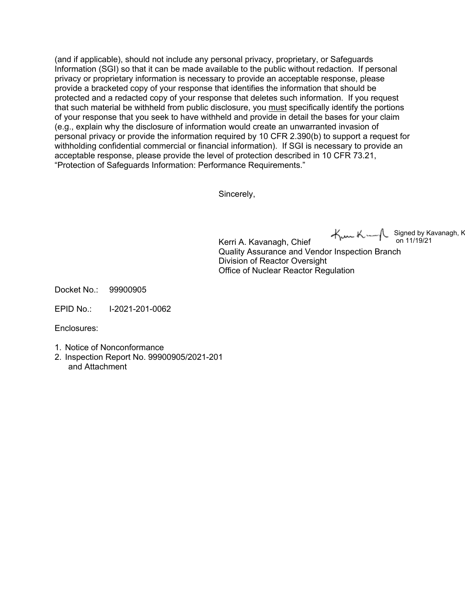(and if applicable), should not include any personal privacy, proprietary, or Safeguards Information (SGI) so that it can be made available to the public without redaction. If personal privacy or proprietary information is necessary to provide an acceptable response, please provide a bracketed copy of your response that identifies the information that should be protected and a redacted copy of your response that deletes such information. If you request that such material be withheld from public disclosure, you must specifically identify the portions of your response that you seek to have withheld and provide in detail the bases for your claim (e.g., explain why the disclosure of information would create an unwarranted invasion of personal privacy or provide the information required by 10 CFR 2.390(b) to support a request for withholding confidential commercial or financial information). If SGI is necessary to provide an acceptable response, please provide the level of protection described in 10 CFR 73.21, "Protection of Safeguards Information: Performance Requirements."

Sincerely,

Signed by Kavanagh, K on 11/19/21

Kerri A. Kavanagh, Chief Quality Assurance and Vendor Inspection Branch Division of Reactor Oversight Office of Nuclear Reactor Regulation

Docket No.: 99900905

EPID No.: I-2021-201-0062

Enclosures:

- 1. Notice of Nonconformance
- 2. Inspection Report No. 99900905/2021-201 and Attachment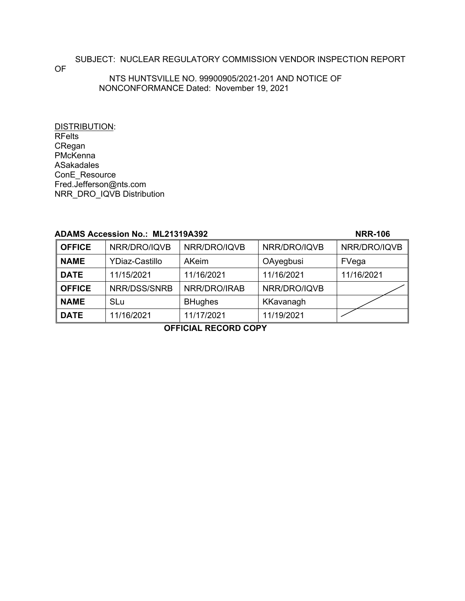SUBJECT: NUCLEAR REGULATORY COMMISSION VENDOR INSPECTION REPORT

OF

### NTS HUNTSVILLE NO. 99900905/2021-201 AND NOTICE OF NONCONFORMANCE Dated: November 19, 2021

DISTRIBUTION: RFelts CRegan PMcKenna ASakadales ConE\_Resource Fred.Jefferson@nts.com NRR\_DRO\_IQVB Distribution

### **ADAMS Accession No.: ML21319A392 NRR-106**

| <b>OFFICE</b> | NRR/DRO/IQVB          | NRR/DRO/IQVB   | NRR/DRO/IQVB | NRR/DRO/IQVB |
|---------------|-----------------------|----------------|--------------|--------------|
| <b>NAME</b>   | <b>YDiaz-Castillo</b> | AKeim          | OAyegbusi    | FVega        |
| <b>DATE</b>   | 11/15/2021            | 11/16/2021     | 11/16/2021   | 11/16/2021   |
| <b>OFFICE</b> | NRR/DSS/SNRB          | NRR/DRO/IRAB   | NRR/DRO/IQVB |              |
| <b>NAME</b>   | SLu                   | <b>BHughes</b> | KKavanagh    |              |
| <b>DATE</b>   | 11/16/2021            | 11/17/2021     | 11/19/2021   |              |

**OFFICIAL RECORD COPY**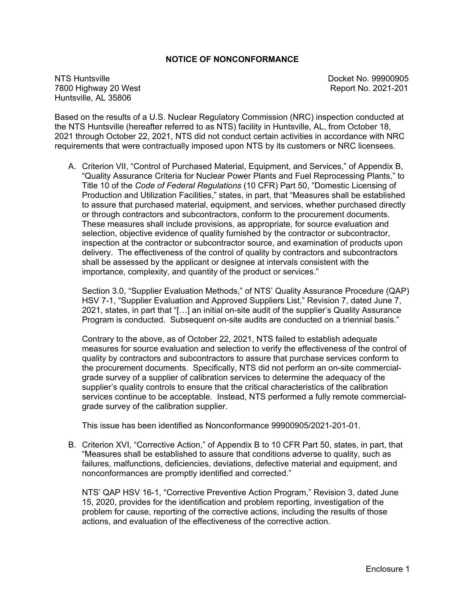# **NOTICE OF NONCONFORMANCE**

NTS Huntsville Docket No. 99900905 7800 Highway 20 West Report No. 2021-201 Huntsville, AL 35806

Based on the results of a U.S. Nuclear Regulatory Commission (NRC) inspection conducted at the NTS Huntsville (hereafter referred to as NTS) facility in Huntsville, AL, from October 18, 2021 through October 22, 2021, NTS did not conduct certain activities in accordance with NRC requirements that were contractually imposed upon NTS by its customers or NRC licensees.

A. Criterion VII, "Control of Purchased Material, Equipment, and Services," of Appendix B, "Quality Assurance Criteria for Nuclear Power Plants and Fuel Reprocessing Plants," to Title 10 of the *Code of Federal Regulations* (10 CFR) Part 50, "Domestic Licensing of Production and Utilization Facilities," states, in part, that "Measures shall be established to assure that purchased material, equipment, and services, whether purchased directly or through contractors and subcontractors, conform to the procurement documents. These measures shall include provisions, as appropriate, for source evaluation and selection, objective evidence of quality furnished by the contractor or subcontractor, inspection at the contractor or subcontractor source, and examination of products upon delivery. The effectiveness of the control of quality by contractors and subcontractors shall be assessed by the applicant or designee at intervals consistent with the importance, complexity, and quantity of the product or services."

Section 3.0, "Supplier Evaluation Methods," of NTS' Quality Assurance Procedure (QAP) HSV 7-1, "Supplier Evaluation and Approved Suppliers List," Revision 7, dated June 7, 2021, states, in part that "[…] an initial on-site audit of the supplier's Quality Assurance Program is conducted. Subsequent on-site audits are conducted on a triennial basis."

Contrary to the above, as of October 22, 2021, NTS failed to establish adequate measures for source evaluation and selection to verify the effectiveness of the control of quality by contractors and subcontractors to assure that purchase services conform to the procurement documents. Specifically, NTS did not perform an on-site commercialgrade survey of a supplier of calibration services to determine the adequacy of the supplier's quality controls to ensure that the critical characteristics of the calibration services continue to be acceptable. Instead, NTS performed a fully remote commercialgrade survey of the calibration supplier.

This issue has been identified as Nonconformance 99900905/2021-201-01.

B. Criterion XVI, "Corrective Action," of Appendix B to 10 CFR Part 50, states, in part, that "Measures shall be established to assure that conditions adverse to quality, such as failures, malfunctions, deficiencies, deviations, defective material and equipment, and nonconformances are promptly identified and corrected."

NTS' QAP HSV 16-1, "Corrective Preventive Action Program," Revision 3, dated June 15, 2020, provides for the identification and problem reporting, investigation of the problem for cause, reporting of the corrective actions, including the results of those actions, and evaluation of the effectiveness of the corrective action.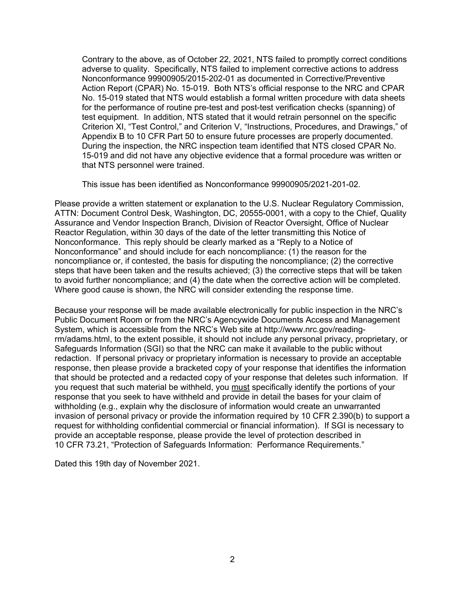Contrary to the above, as of October 22, 2021, NTS failed to promptly correct conditions adverse to quality. Specifically, NTS failed to implement corrective actions to address Nonconformance 99900905/2015-202-01 as documented in Corrective/Preventive Action Report (CPAR) No. 15-019. Both NTS's official response to the NRC and CPAR No. 15-019 stated that NTS would establish a formal written procedure with data sheets for the performance of routine pre-test and post-test verification checks (spanning) of test equipment. In addition, NTS stated that it would retrain personnel on the specific Criterion XI, "Test Control," and Criterion V, "Instructions, Procedures, and Drawings," of Appendix B to 10 CFR Part 50 to ensure future processes are properly documented. During the inspection, the NRC inspection team identified that NTS closed CPAR No. 15-019 and did not have any objective evidence that a formal procedure was written or that NTS personnel were trained.

This issue has been identified as Nonconformance 99900905/2021-201-02.

Please provide a written statement or explanation to the U.S. Nuclear Regulatory Commission, ATTN: Document Control Desk, Washington, DC, 20555-0001, with a copy to the Chief, Quality Assurance and Vendor Inspection Branch, Division of Reactor Oversight, Office of Nuclear Reactor Regulation, within 30 days of the date of the letter transmitting this Notice of Nonconformance. This reply should be clearly marked as a "Reply to a Notice of Nonconformance" and should include for each noncompliance: (1) the reason for the noncompliance or, if contested, the basis for disputing the noncompliance; (2) the corrective steps that have been taken and the results achieved; (3) the corrective steps that will be taken to avoid further noncompliance; and (4) the date when the corrective action will be completed. Where good cause is shown, the NRC will consider extending the response time.

Because your response will be made available electronically for public inspection in the NRC's Public Document Room or from the NRC's Agencywide Documents Access and Management System, which is accessible from the NRC's Web site at http://www.nrc.gov/readingrm/adams.html, to the extent possible, it should not include any personal privacy, proprietary, or Safeguards Information (SGI) so that the NRC can make it available to the public without redaction. If personal privacy or proprietary information is necessary to provide an acceptable response, then please provide a bracketed copy of your response that identifies the information that should be protected and a redacted copy of your response that deletes such information. If you request that such material be withheld, you must specifically identify the portions of your response that you seek to have withheld and provide in detail the bases for your claim of withholding (e.g., explain why the disclosure of information would create an unwarranted invasion of personal privacy or provide the information required by 10 CFR 2.390(b) to support a request for withholding confidential commercial or financial information). If SGI is necessary to provide an acceptable response, please provide the level of protection described in 10 CFR 73.21, "Protection of Safeguards Information: Performance Requirements."

Dated this 19th day of November 2021.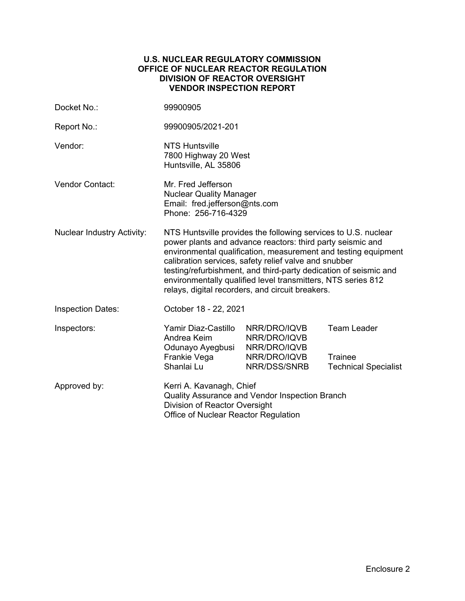# **U.S. NUCLEAR REGULATORY COMMISSION OFFICE OF NUCLEAR REACTOR REGULATION DIVISION OF REACTOR OVERSIGHT VENDOR INSPECTION REPORT**

| Docket No.:                       | 99900905                                                                                                                                                                                                                                                                                                                                                                                                                                        |                                                              |                               |  |
|-----------------------------------|-------------------------------------------------------------------------------------------------------------------------------------------------------------------------------------------------------------------------------------------------------------------------------------------------------------------------------------------------------------------------------------------------------------------------------------------------|--------------------------------------------------------------|-------------------------------|--|
| Report No.:                       | 99900905/2021-201                                                                                                                                                                                                                                                                                                                                                                                                                               |                                                              |                               |  |
| Vendor:                           | <b>NTS Huntsville</b><br>7800 Highway 20 West<br>Huntsville, AL 35806                                                                                                                                                                                                                                                                                                                                                                           |                                                              |                               |  |
| <b>Vendor Contact:</b>            | Mr. Fred Jefferson<br><b>Nuclear Quality Manager</b><br>Email: fred.jefferson@nts.com<br>Phone: 256-716-4329                                                                                                                                                                                                                                                                                                                                    |                                                              |                               |  |
| <b>Nuclear Industry Activity:</b> | NTS Huntsville provides the following services to U.S. nuclear<br>power plants and advance reactors: third party seismic and<br>environmental qualification, measurement and testing equipment<br>calibration services, safety relief valve and snubber<br>testing/refurbishment, and third-party dedication of seismic and<br>environmentally qualified level transmitters, NTS series 812<br>relays, digital recorders, and circuit breakers. |                                                              |                               |  |
| <b>Inspection Dates:</b>          | October 18 - 22, 2021                                                                                                                                                                                                                                                                                                                                                                                                                           |                                                              |                               |  |
| Inspectors:                       | Yamir Diaz-Castillo<br>Andrea Keim<br>Odunayo Ayegbusi<br>Frankie Vega                                                                                                                                                                                                                                                                                                                                                                          | NRR/DRO/IQVB<br>NRR/DRO/IQVB<br>NRR/DRO/IQVB<br>NRR/DRO/IQVB | <b>Team Leader</b><br>Trainee |  |
|                                   | Shanlai Lu                                                                                                                                                                                                                                                                                                                                                                                                                                      | NRR/DSS/SNRB                                                 | <b>Technical Specialist</b>   |  |
| Approved by:                      | Kerri A. Kavanagh, Chief<br>Quality Assurance and Vendor Inspection Branch<br>Division of Reactor Oversight<br>Office of Nuclear Reactor Regulation                                                                                                                                                                                                                                                                                             |                                                              |                               |  |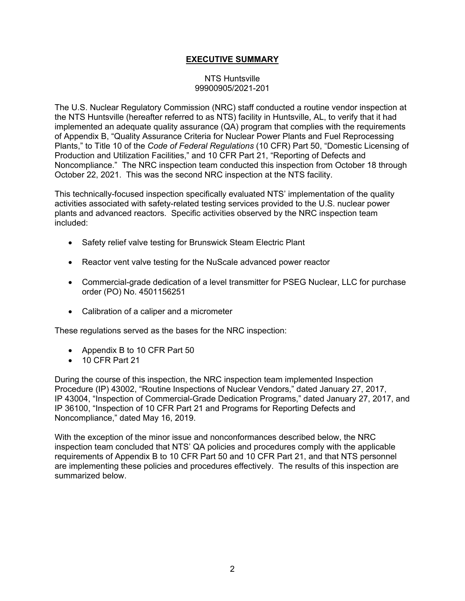# **EXECUTIVE SUMMARY**

# NTS Huntsville 99900905/2021-201

The U.S. Nuclear Regulatory Commission (NRC) staff conducted a routine vendor inspection at the NTS Huntsville (hereafter referred to as NTS) facility in Huntsville, AL, to verify that it had implemented an adequate quality assurance (QA) program that complies with the requirements of Appendix B, "Quality Assurance Criteria for Nuclear Power Plants and Fuel Reprocessing Plants," to Title 10 of the *Code of Federal Regulations* (10 CFR) Part 50, "Domestic Licensing of Production and Utilization Facilities," and 10 CFR Part 21, "Reporting of Defects and Noncompliance." The NRC inspection team conducted this inspection from October 18 through October 22, 2021. This was the second NRC inspection at the NTS facility.

This technically-focused inspection specifically evaluated NTS' implementation of the quality activities associated with safety-related testing services provided to the U.S. nuclear power plants and advanced reactors. Specific activities observed by the NRC inspection team included:

- Safety relief valve testing for Brunswick Steam Electric Plant
- Reactor vent valve testing for the NuScale advanced power reactor
- Commercial-grade dedication of a level transmitter for PSEG Nuclear, LLC for purchase order (PO) No. 4501156251
- Calibration of a caliper and a micrometer

These regulations served as the bases for the NRC inspection:

- Appendix B to 10 CFR Part 50
- 10 CFR Part 21

During the course of this inspection, the NRC inspection team implemented Inspection Procedure (IP) 43002, "Routine Inspections of Nuclear Vendors," dated January 27, 2017, IP 43004, "Inspection of Commercial-Grade Dedication Programs," dated January 27, 2017, and IP 36100, "Inspection of 10 CFR Part 21 and Programs for Reporting Defects and Noncompliance," dated May 16, 2019.

With the exception of the minor issue and nonconformances described below, the NRC inspection team concluded that NTS' QA policies and procedures comply with the applicable requirements of Appendix B to 10 CFR Part 50 and 10 CFR Part 21, and that NTS personnel are implementing these policies and procedures effectively. The results of this inspection are summarized below.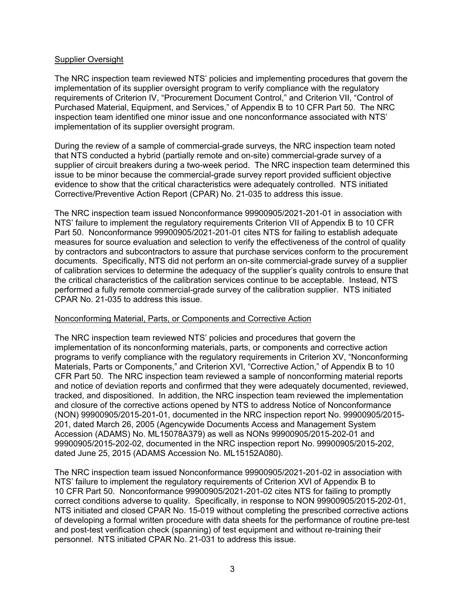## Supplier Oversight

The NRC inspection team reviewed NTS' policies and implementing procedures that govern the implementation of its supplier oversight program to verify compliance with the regulatory requirements of Criterion IV, "Procurement Document Control," and Criterion VII, "Control of Purchased Material, Equipment, and Services," of Appendix B to 10 CFR Part 50. The NRC inspection team identified one minor issue and one nonconformance associated with NTS' implementation of its supplier oversight program.

During the review of a sample of commercial-grade surveys, the NRC inspection team noted that NTS conducted a hybrid (partially remote and on-site) commercial-grade survey of a supplier of circuit breakers during a two-week period. The NRC inspection team determined this issue to be minor because the commercial-grade survey report provided sufficient objective evidence to show that the critical characteristics were adequately controlled. NTS initiated Corrective/Preventive Action Report (CPAR) No. 21-035 to address this issue.

The NRC inspection team issued Nonconformance 99900905/2021-201-01 in association with NTS' failure to implement the regulatory requirements Criterion VII of Appendix B to 10 CFR Part 50. Nonconformance 99900905/2021-201-01 cites NTS for failing to establish adequate measures for source evaluation and selection to verify the effectiveness of the control of quality by contractors and subcontractors to assure that purchase services conform to the procurement documents. Specifically, NTS did not perform an on-site commercial-grade survey of a supplier of calibration services to determine the adequacy of the supplier's quality controls to ensure that the critical characteristics of the calibration services continue to be acceptable. Instead, NTS performed a fully remote commercial-grade survey of the calibration supplier. NTS initiated CPAR No. 21-035 to address this issue.

#### Nonconforming Material, Parts, or Components and Corrective Action

The NRC inspection team reviewed NTS' policies and procedures that govern the implementation of its nonconforming materials, parts, or components and corrective action programs to verify compliance with the regulatory requirements in Criterion XV, "Nonconforming Materials, Parts or Components," and Criterion XVI, "Corrective Action," of Appendix B to 10 CFR Part 50. The NRC inspection team reviewed a sample of nonconforming material reports and notice of deviation reports and confirmed that they were adequately documented, reviewed, tracked, and dispositioned. In addition, the NRC inspection team reviewed the implementation and closure of the corrective actions opened by NTS to address Notice of Nonconformance (NON) 99900905/2015-201-01, documented in the NRC inspection report No. 99900905/2015- 201, dated March 26, 2005 (Agencywide Documents Access and Management System Accession (ADAMS) No. ML15078A379) as well as NONs 99900905/2015-202-01 and 99900905/2015-202-02, documented in the NRC inspection report No. 99900905/2015-202, dated June 25, 2015 (ADAMS Accession No. ML15152A080).

The NRC inspection team issued Nonconformance 99900905/2021-201-02 in association with NTS' failure to implement the regulatory requirements of Criterion XVI of Appendix B to 10 CFR Part 50. Nonconformance 99900905/2021-201-02 cites NTS for failing to promptly correct conditions adverse to quality. Specifically, in response to NON 99900905/2015-202-01, NTS initiated and closed CPAR No. 15-019 without completing the prescribed corrective actions of developing a formal written procedure with data sheets for the performance of routine pre-test and post-test verification check (spanning) of test equipment and without re-training their personnel. NTS initiated CPAR No. 21-031 to address this issue.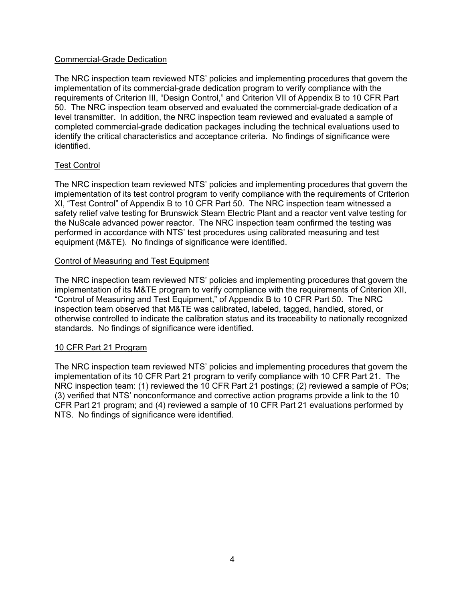# Commercial-Grade Dedication

The NRC inspection team reviewed NTS' policies and implementing procedures that govern the implementation of its commercial-grade dedication program to verify compliance with the requirements of Criterion III, "Design Control," and Criterion VII of Appendix B to 10 CFR Part 50. The NRC inspection team observed and evaluated the commercial-grade dedication of a level transmitter. In addition, the NRC inspection team reviewed and evaluated a sample of completed commercial-grade dedication packages including the technical evaluations used to identify the critical characteristics and acceptance criteria. No findings of significance were identified.

# Test Control

The NRC inspection team reviewed NTS' policies and implementing procedures that govern the implementation of its test control program to verify compliance with the requirements of Criterion XI, "Test Control" of Appendix B to 10 CFR Part 50. The NRC inspection team witnessed a safety relief valve testing for Brunswick Steam Electric Plant and a reactor vent valve testing for the NuScale advanced power reactor. The NRC inspection team confirmed the testing was performed in accordance with NTS' test procedures using calibrated measuring and test equipment (M&TE). No findings of significance were identified.

# Control of Measuring and Test Equipment

The NRC inspection team reviewed NTS' policies and implementing procedures that govern the implementation of its M&TE program to verify compliance with the requirements of Criterion XII, "Control of Measuring and Test Equipment," of Appendix B to 10 CFR Part 50. The NRC inspection team observed that M&TE was calibrated, labeled, tagged, handled, stored, or otherwise controlled to indicate the calibration status and its traceability to nationally recognized standards. No findings of significance were identified.

#### 10 CFR Part 21 Program

The NRC inspection team reviewed NTS' policies and implementing procedures that govern the implementation of its 10 CFR Part 21 program to verify compliance with 10 CFR Part 21. The NRC inspection team: (1) reviewed the 10 CFR Part 21 postings; (2) reviewed a sample of POs; (3) verified that NTS' nonconformance and corrective action programs provide a link to the 10 CFR Part 21 program; and (4) reviewed a sample of 10 CFR Part 21 evaluations performed by NTS. No findings of significance were identified.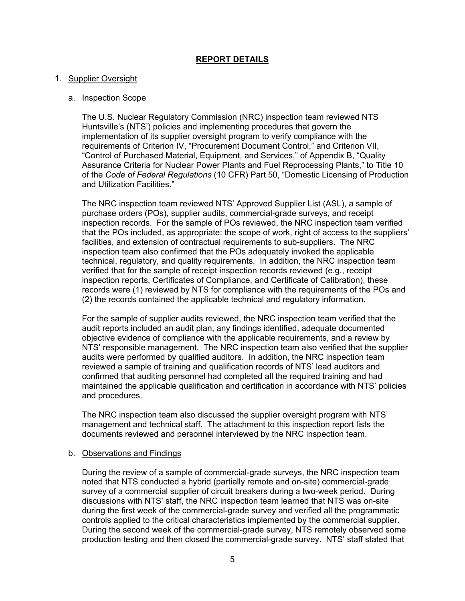# **REPORT DETAILS**

# 1. Supplier Oversight

## a. Inspection Scope

The U.S. Nuclear Regulatory Commission (NRC) inspection team reviewed NTS Huntsville's (NTS') policies and implementing procedures that govern the implementation of its supplier oversight program to verify compliance with the requirements of Criterion IV, "Procurement Document Control," and Criterion VII, "Control of Purchased Material, Equipment, and Services," of Appendix B, "Quality Assurance Criteria for Nuclear Power Plants and Fuel Reprocessing Plants," to Title 10 of the *Code of Federal Regulations* (10 CFR) Part 50, "Domestic Licensing of Production and Utilization Facilities."

The NRC inspection team reviewed NTS' Approved Supplier List (ASL), a sample of purchase orders (POs), supplier audits, commercial-grade surveys, and receipt inspection records. For the sample of POs reviewed, the NRC inspection team verified that the POs included, as appropriate: the scope of work, right of access to the suppliers' facilities, and extension of contractual requirements to sub-suppliers. The NRC inspection team also confirmed that the POs adequately invoked the applicable technical, regulatory, and quality requirements. In addition, the NRC inspection team verified that for the sample of receipt inspection records reviewed (e.g., receipt inspection reports, Certificates of Compliance, and Certificate of Calibration), these records were (1) reviewed by NTS for compliance with the requirements of the POs and (2) the records contained the applicable technical and regulatory information.

For the sample of supplier audits reviewed, the NRC inspection team verified that the audit reports included an audit plan, any findings identified, adequate documented objective evidence of compliance with the applicable requirements, and a review by NTS' responsible management. The NRC inspection team also verified that the supplier audits were performed by qualified auditors. In addition, the NRC inspection team reviewed a sample of training and qualification records of NTS' lead auditors and confirmed that auditing personnel had completed all the required training and had maintained the applicable qualification and certification in accordance with NTS' policies and procedures.

The NRC inspection team also discussed the supplier oversight program with NTS' management and technical staff. The attachment to this inspection report lists the documents reviewed and personnel interviewed by the NRC inspection team.

#### b. Observations and Findings

During the review of a sample of commercial-grade surveys, the NRC inspection team noted that NTS conducted a hybrid (partially remote and on-site) commercial-grade survey of a commercial supplier of circuit breakers during a two-week period. During discussions with NTS' staff, the NRC inspection team learned that NTS was on-site during the first week of the commercial-grade survey and verified all the programmatic controls applied to the critical characteristics implemented by the commercial supplier. During the second week of the commercial-grade survey, NTS remotely observed some production testing and then closed the commercial-grade survey. NTS' staff stated that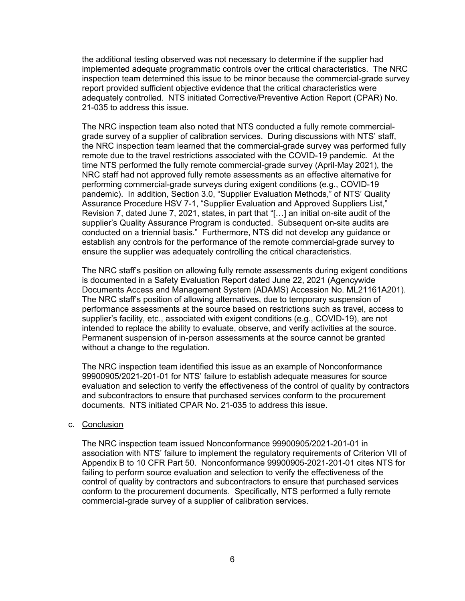the additional testing observed was not necessary to determine if the supplier had implemented adequate programmatic controls over the critical characteristics. The NRC inspection team determined this issue to be minor because the commercial-grade survey report provided sufficient objective evidence that the critical characteristics were adequately controlled. NTS initiated Corrective/Preventive Action Report (CPAR) No. 21-035 to address this issue.

The NRC inspection team also noted that NTS conducted a fully remote commercialgrade survey of a supplier of calibration services. During discussions with NTS' staff, the NRC inspection team learned that the commercial-grade survey was performed fully remote due to the travel restrictions associated with the COVID-19 pandemic. At the time NTS performed the fully remote commercial-grade survey (April-May 2021), the NRC staff had not approved fully remote assessments as an effective alternative for performing commercial-grade surveys during exigent conditions (e.g., COVID-19 pandemic). In addition, Section 3.0, "Supplier Evaluation Methods," of NTS' Quality Assurance Procedure HSV 7-1, "Supplier Evaluation and Approved Suppliers List," Revision 7, dated June 7, 2021, states, in part that "[…] an initial on-site audit of the supplier's Quality Assurance Program is conducted. Subsequent on-site audits are conducted on a triennial basis." Furthermore, NTS did not develop any guidance or establish any controls for the performance of the remote commercial-grade survey to ensure the supplier was adequately controlling the critical characteristics.

The NRC staff's position on allowing fully remote assessments during exigent conditions is documented in a Safety Evaluation Report dated June 22, 2021 (Agencywide Documents Access and Management System (ADAMS) Accession No. ML21161A201). The NRC staff's position of allowing alternatives, due to temporary suspension of performance assessments at the source based on restrictions such as travel, access to supplier's facility, etc., associated with exigent conditions (e.g., COVID-19), are not intended to replace the ability to evaluate, observe, and verify activities at the source. Permanent suspension of in-person assessments at the source cannot be granted without a change to the regulation.

The NRC inspection team identified this issue as an example of Nonconformance 99900905/2021-201-01 for NTS' failure to establish adequate measures for source evaluation and selection to verify the effectiveness of the control of quality by contractors and subcontractors to ensure that purchased services conform to the procurement documents. NTS initiated CPAR No. 21-035 to address this issue.

#### c. Conclusion

The NRC inspection team issued Nonconformance 99900905/2021-201-01 in association with NTS' failure to implement the regulatory requirements of Criterion VII of Appendix B to 10 CFR Part 50. Nonconformance 99900905-2021-201-01 cites NTS for failing to perform source evaluation and selection to verify the effectiveness of the control of quality by contractors and subcontractors to ensure that purchased services conform to the procurement documents. Specifically, NTS performed a fully remote commercial-grade survey of a supplier of calibration services.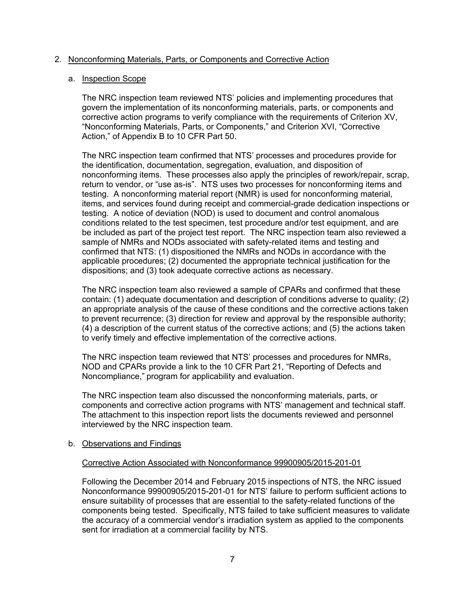# 2. Nonconforming Materials, Parts, or Components and Corrective Action

## a. Inspection Scope

The NRC inspection team reviewed NTS' policies and implementing procedures that govern the implementation of its nonconforming materials, parts, or components and corrective action programs to verify compliance with the requirements of Criterion XV, "Nonconforming Materials, Parts, or Components," and Criterion XVI, "Corrective Action," of Appendix B to 10 CFR Part 50.

The NRC inspection team confirmed that NTS' processes and procedures provide for the identification, documentation, segregation, evaluation, and disposition of nonconforming items. These processes also apply the principles of rework/repair, scrap, return to vendor, or "use as-is". NTS uses two processes for nonconforming items and testing. A nonconforming material report (NMR) is used for nonconforming material, items, and services found during receipt and commercial-grade dedication inspections or testing. A notice of deviation (NOD) is used to document and control anomalous conditions related to the test specimen, test procedure and/or test equipment, and are be included as part of the project test report. The NRC inspection team also reviewed a sample of NMRs and NODs associated with safety-related items and testing and confirmed that NTS: (1) dispositioned the NMRs and NODs in accordance with the applicable procedures; (2) documented the appropriate technical justification for the dispositions; and (3) took adequate corrective actions as necessary.

The NRC inspection team also reviewed a sample of CPARs and confirmed that these contain: (1) adequate documentation and description of conditions adverse to quality; (2) an appropriate analysis of the cause of these conditions and the corrective actions taken to prevent recurrence; (3) direction for review and approval by the responsible authority; (4) a description of the current status of the corrective actions; and (5) the actions taken to verify timely and effective implementation of the corrective actions.

The NRC inspection team reviewed that NTS' processes and procedures for NMRs, NOD and CPARs provide a link to the 10 CFR Part 21, "Reporting of Defects and Noncompliance," program for applicability and evaluation.

The NRC inspection team also discussed the nonconforming materials, parts, or components and corrective action programs with NTS' management and technical staff. The attachment to this inspection report lists the documents reviewed and personnel interviewed by the NRC inspection team.

#### b. Observations and Findings

#### Corrective Action Associated with Nonconformance 99900905/2015-201-01

Following the December 2014 and February 2015 inspections of NTS, the NRC issued Nonconformance 99900905/2015-201-01 for NTS' failure to perform sufficient actions to ensure suitability of processes that are essential to the safety-related functions of the components being tested. Specifically, NTS failed to take sufficient measures to validate the accuracy of a commercial vendor's irradiation system as applied to the components sent for irradiation at a commercial facility by NTS.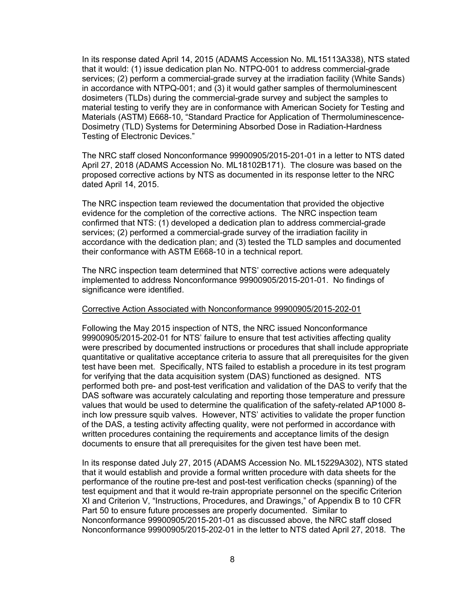In its response dated April 14, 2015 (ADAMS Accession No. ML15113A338), NTS stated that it would: (1) issue dedication plan No. NTPQ-001 to address commercial-grade services; (2) perform a commercial-grade survey at the irradiation facility (White Sands) in accordance with NTPQ-001; and (3) it would gather samples of thermoluminescent dosimeters (TLDs) during the commercial-grade survey and subject the samples to material testing to verify they are in conformance with American Society for Testing and Materials (ASTM) E668-10, "Standard Practice for Application of Thermoluminescence-Dosimetry (TLD) Systems for Determining Absorbed Dose in Radiation-Hardness Testing of Electronic Devices."

The NRC staff closed Nonconformance 99900905/2015-201-01 in a letter to NTS dated April 27, 2018 (ADAMS Accession No. ML18102B171). The closure was based on the proposed corrective actions by NTS as documented in its response letter to the NRC dated April 14, 2015.

The NRC inspection team reviewed the documentation that provided the objective evidence for the completion of the corrective actions. The NRC inspection team confirmed that NTS: (1) developed a dedication plan to address commercial-grade services; (2) performed a commercial-grade survey of the irradiation facility in accordance with the dedication plan; and (3) tested the TLD samples and documented their conformance with ASTM E668-10 in a technical report.

The NRC inspection team determined that NTS' corrective actions were adequately implemented to address Nonconformance 99900905/2015-201-01. No findings of significance were identified.

#### Corrective Action Associated with Nonconformance 99900905/2015-202-01

Following the May 2015 inspection of NTS, the NRC issued Nonconformance 99900905/2015-202-01 for NTS' failure to ensure that test activities affecting quality were prescribed by documented instructions or procedures that shall include appropriate quantitative or qualitative acceptance criteria to assure that all prerequisites for the given test have been met. Specifically, NTS failed to establish a procedure in its test program for verifying that the data acquisition system (DAS) functioned as designed. NTS performed both pre- and post-test verification and validation of the DAS to verify that the DAS software was accurately calculating and reporting those temperature and pressure values that would be used to determine the qualification of the safety-related AP1000 8 inch low pressure squib valves. However, NTS' activities to validate the proper function of the DAS, a testing activity affecting quality, were not performed in accordance with written procedures containing the requirements and acceptance limits of the design documents to ensure that all prerequisites for the given test have been met.

In its response dated July 27, 2015 (ADAMS Accession No. ML15229A302), NTS stated that it would establish and provide a formal written procedure with data sheets for the performance of the routine pre-test and post-test verification checks (spanning) of the test equipment and that it would re-train appropriate personnel on the specific Criterion XI and Criterion V, "Instructions, Procedures, and Drawings," of Appendix B to 10 CFR Part 50 to ensure future processes are properly documented. Similar to Nonconformance 99900905/2015-201-01 as discussed above, the NRC staff closed Nonconformance 99900905/2015-202-01 in the letter to NTS dated April 27, 2018. The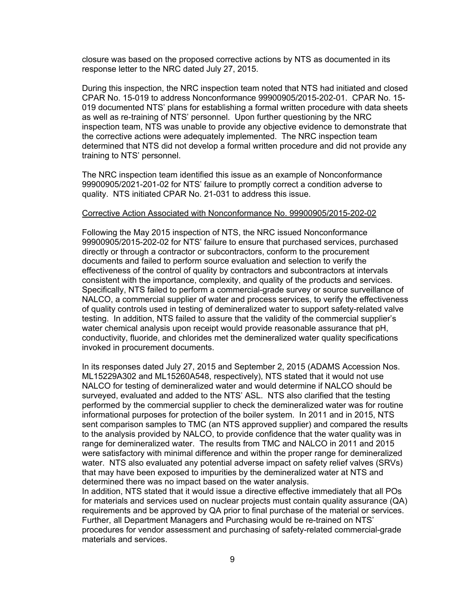closure was based on the proposed corrective actions by NTS as documented in its response letter to the NRC dated July 27, 2015.

During this inspection, the NRC inspection team noted that NTS had initiated and closed CPAR No. 15-019 to address Nonconformance 99900905/2015-202-01. CPAR No. 15- 019 documented NTS' plans for establishing a formal written procedure with data sheets as well as re-training of NTS' personnel. Upon further questioning by the NRC inspection team, NTS was unable to provide any objective evidence to demonstrate that the corrective actions were adequately implemented. The NRC inspection team determined that NTS did not develop a formal written procedure and did not provide any training to NTS' personnel.

The NRC inspection team identified this issue as an example of Nonconformance 99900905/2021-201-02 for NTS' failure to promptly correct a condition adverse to quality. NTS initiated CPAR No. 21-031 to address this issue.

#### Corrective Action Associated with Nonconformance No. 99900905/2015-202-02

Following the May 2015 inspection of NTS, the NRC issued Nonconformance 99900905/2015-202-02 for NTS' failure to ensure that purchased services, purchased directly or through a contractor or subcontractors, conform to the procurement documents and failed to perform source evaluation and selection to verify the effectiveness of the control of quality by contractors and subcontractors at intervals consistent with the importance, complexity, and quality of the products and services. Specifically, NTS failed to perform a commercial-grade survey or source surveillance of NALCO, a commercial supplier of water and process services, to verify the effectiveness of quality controls used in testing of demineralized water to support safety-related valve testing. In addition, NTS failed to assure that the validity of the commercial supplier's water chemical analysis upon receipt would provide reasonable assurance that pH, conductivity, fluoride, and chlorides met the demineralized water quality specifications invoked in procurement documents.

In its responses dated July 27, 2015 and September 2, 2015 (ADAMS Accession Nos. ML15229A302 and ML15260A548, respectively), NTS stated that it would not use NALCO for testing of demineralized water and would determine if NALCO should be surveyed, evaluated and added to the NTS' ASL. NTS also clarified that the testing performed by the commercial supplier to check the demineralized water was for routine informational purposes for protection of the boiler system. In 2011 and in 2015, NTS sent comparison samples to TMC (an NTS approved supplier) and compared the results to the analysis provided by NALCO, to provide confidence that the water quality was in range for demineralized water. The results from TMC and NALCO in 2011 and 2015 were satisfactory with minimal difference and within the proper range for demineralized water. NTS also evaluated any potential adverse impact on safety relief valves (SRVs) that may have been exposed to impurities by the demineralized water at NTS and determined there was no impact based on the water analysis.

In addition, NTS stated that it would issue a directive effective immediately that all POs for materials and services used on nuclear projects must contain quality assurance (QA) requirements and be approved by QA prior to final purchase of the material or services. Further, all Department Managers and Purchasing would be re-trained on NTS' procedures for vendor assessment and purchasing of safety-related commercial-grade materials and services.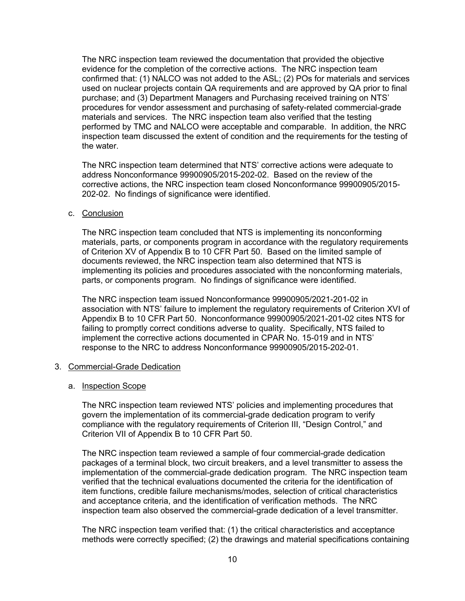The NRC inspection team reviewed the documentation that provided the objective evidence for the completion of the corrective actions. The NRC inspection team confirmed that: (1) NALCO was not added to the ASL; (2) POs for materials and services used on nuclear projects contain QA requirements and are approved by QA prior to final purchase; and (3) Department Managers and Purchasing received training on NTS' procedures for vendor assessment and purchasing of safety-related commercial-grade materials and services. The NRC inspection team also verified that the testing performed by TMC and NALCO were acceptable and comparable. In addition, the NRC inspection team discussed the extent of condition and the requirements for the testing of the water.

The NRC inspection team determined that NTS' corrective actions were adequate to address Nonconformance 99900905/2015-202-02. Based on the review of the corrective actions, the NRC inspection team closed Nonconformance 99900905/2015- 202-02. No findings of significance were identified.

c. Conclusion

The NRC inspection team concluded that NTS is implementing its nonconforming materials, parts, or components program in accordance with the regulatory requirements of Criterion XV of Appendix B to 10 CFR Part 50. Based on the limited sample of documents reviewed, the NRC inspection team also determined that NTS is implementing its policies and procedures associated with the nonconforming materials, parts, or components program. No findings of significance were identified.

The NRC inspection team issued Nonconformance 99900905/2021-201-02 in association with NTS' failure to implement the regulatory requirements of Criterion XVI of Appendix B to 10 CFR Part 50. Nonconformance 99900905/2021-201-02 cites NTS for failing to promptly correct conditions adverse to quality. Specifically, NTS failed to implement the corrective actions documented in CPAR No. 15-019 and in NTS' response to the NRC to address Nonconformance 99900905/2015-202-01.

#### 3. Commercial-Grade Dedication

#### a. Inspection Scope

The NRC inspection team reviewed NTS' policies and implementing procedures that govern the implementation of its commercial-grade dedication program to verify compliance with the regulatory requirements of Criterion III, "Design Control," and Criterion VII of Appendix B to 10 CFR Part 50.

The NRC inspection team reviewed a sample of four commercial-grade dedication packages of a terminal block, two circuit breakers, and a level transmitter to assess the implementation of the commercial-grade dedication program. The NRC inspection team verified that the technical evaluations documented the criteria for the identification of item functions, credible failure mechanisms/modes, selection of critical characteristics and acceptance criteria, and the identification of verification methods. The NRC inspection team also observed the commercial-grade dedication of a level transmitter.

The NRC inspection team verified that: (1) the critical characteristics and acceptance methods were correctly specified; (2) the drawings and material specifications containing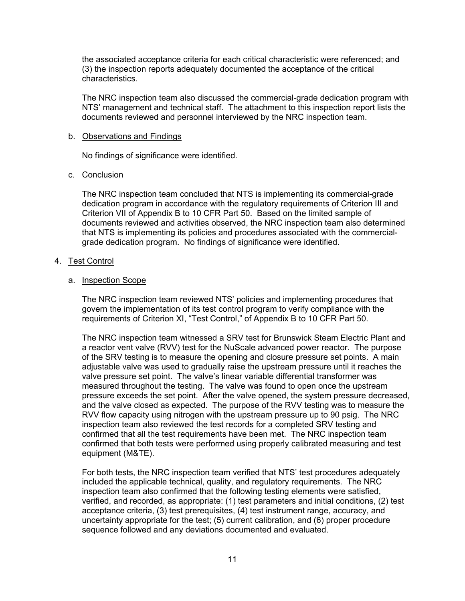the associated acceptance criteria for each critical characteristic were referenced; and (3) the inspection reports adequately documented the acceptance of the critical characteristics.

The NRC inspection team also discussed the commercial-grade dedication program with NTS' management and technical staff. The attachment to this inspection report lists the documents reviewed and personnel interviewed by the NRC inspection team.

## b. Observations and Findings

No findings of significance were identified.

# c. Conclusion

The NRC inspection team concluded that NTS is implementing its commercial-grade dedication program in accordance with the regulatory requirements of Criterion III and Criterion VII of Appendix B to 10 CFR Part 50. Based on the limited sample of documents reviewed and activities observed, the NRC inspection team also determined that NTS is implementing its policies and procedures associated with the commercialgrade dedication program. No findings of significance were identified.

# 4. Test Control

# a. Inspection Scope

The NRC inspection team reviewed NTS' policies and implementing procedures that govern the implementation of its test control program to verify compliance with the requirements of Criterion XI, "Test Control," of Appendix B to 10 CFR Part 50.

The NRC inspection team witnessed a SRV test for Brunswick Steam Electric Plant and a reactor vent valve (RVV) test for the NuScale advanced power reactor. The purpose of the SRV testing is to measure the opening and closure pressure set points. A main adjustable valve was used to gradually raise the upstream pressure until it reaches the valve pressure set point. The valve's linear variable differential transformer was measured throughout the testing. The valve was found to open once the upstream pressure exceeds the set point. After the valve opened, the system pressure decreased, and the valve closed as expected. The purpose of the RVV testing was to measure the RVV flow capacity using nitrogen with the upstream pressure up to 90 psig. The NRC inspection team also reviewed the test records for a completed SRV testing and confirmed that all the test requirements have been met. The NRC inspection team confirmed that both tests were performed using properly calibrated measuring and test equipment (M&TE).

For both tests, the NRC inspection team verified that NTS' test procedures adequately included the applicable technical, quality, and regulatory requirements. The NRC inspection team also confirmed that the following testing elements were satisfied, verified, and recorded, as appropriate: (1) test parameters and initial conditions, (2) test acceptance criteria, (3) test prerequisites, (4) test instrument range, accuracy, and uncertainty appropriate for the test; (5) current calibration, and (6) proper procedure sequence followed and any deviations documented and evaluated.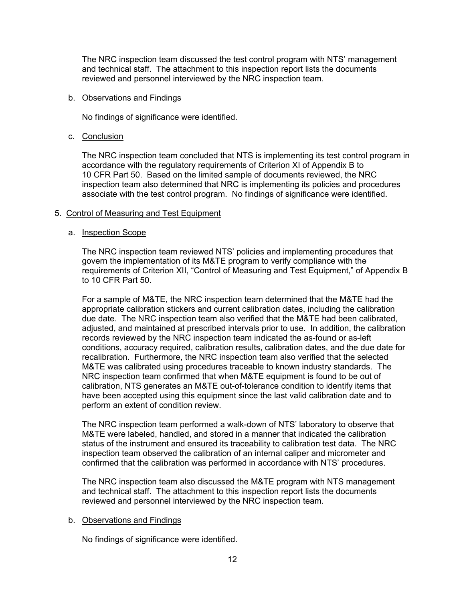The NRC inspection team discussed the test control program with NTS' management and technical staff. The attachment to this inspection report lists the documents reviewed and personnel interviewed by the NRC inspection team.

#### b. Observations and Findings

No findings of significance were identified.

#### c. Conclusion

The NRC inspection team concluded that NTS is implementing its test control program in accordance with the regulatory requirements of Criterion XI of Appendix B to 10 CFR Part 50. Based on the limited sample of documents reviewed, the NRC inspection team also determined that NRC is implementing its policies and procedures associate with the test control program. No findings of significance were identified.

#### 5. Control of Measuring and Test Equipment

#### a. Inspection Scope

The NRC inspection team reviewed NTS' policies and implementing procedures that govern the implementation of its M&TE program to verify compliance with the requirements of Criterion XII, "Control of Measuring and Test Equipment," of Appendix B to 10 CFR Part 50.

For a sample of M&TE, the NRC inspection team determined that the M&TE had the appropriate calibration stickers and current calibration dates, including the calibration due date. The NRC inspection team also verified that the M&TE had been calibrated, adjusted, and maintained at prescribed intervals prior to use. In addition, the calibration records reviewed by the NRC inspection team indicated the as-found or as-left conditions, accuracy required, calibration results, calibration dates, and the due date for recalibration. Furthermore, the NRC inspection team also verified that the selected M&TE was calibrated using procedures traceable to known industry standards. The NRC inspection team confirmed that when M&TE equipment is found to be out of calibration, NTS generates an M&TE out-of-tolerance condition to identify items that have been accepted using this equipment since the last valid calibration date and to perform an extent of condition review.

The NRC inspection team performed a walk-down of NTS' laboratory to observe that M&TE were labeled, handled, and stored in a manner that indicated the calibration status of the instrument and ensured its traceability to calibration test data. The NRC inspection team observed the calibration of an internal caliper and micrometer and confirmed that the calibration was performed in accordance with NTS' procedures.

The NRC inspection team also discussed the M&TE program with NTS management and technical staff. The attachment to this inspection report lists the documents reviewed and personnel interviewed by the NRC inspection team.

#### b. Observations and Findings

No findings of significance were identified.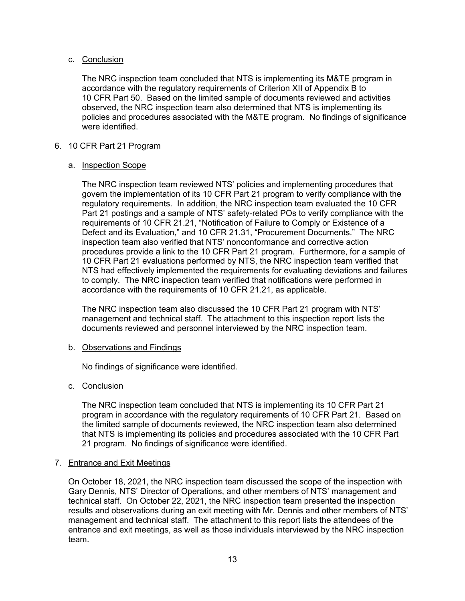# c. Conclusion

The NRC inspection team concluded that NTS is implementing its M&TE program in accordance with the regulatory requirements of Criterion XII of Appendix B to 10 CFR Part 50. Based on the limited sample of documents reviewed and activities observed, the NRC inspection team also determined that NTS is implementing its policies and procedures associated with the M&TE program. No findings of significance were identified.

# 6. 10 CFR Part 21 Program

# a. Inspection Scope

The NRC inspection team reviewed NTS' policies and implementing procedures that govern the implementation of its 10 CFR Part 21 program to verify compliance with the regulatory requirements. In addition, the NRC inspection team evaluated the 10 CFR Part 21 postings and a sample of NTS' safety-related POs to verify compliance with the requirements of 10 CFR 21.21, "Notification of Failure to Comply or Existence of a Defect and its Evaluation," and 10 CFR 21.31, "Procurement Documents." The NRC inspection team also verified that NTS' nonconformance and corrective action procedures provide a link to the 10 CFR Part 21 program. Furthermore, for a sample of 10 CFR Part 21 evaluations performed by NTS, the NRC inspection team verified that NTS had effectively implemented the requirements for evaluating deviations and failures to comply. The NRC inspection team verified that notifications were performed in accordance with the requirements of 10 CFR 21.21, as applicable.

The NRC inspection team also discussed the 10 CFR Part 21 program with NTS' management and technical staff. The attachment to this inspection report lists the documents reviewed and personnel interviewed by the NRC inspection team.

#### b. Observations and Findings

No findings of significance were identified.

# c. Conclusion

The NRC inspection team concluded that NTS is implementing its 10 CFR Part 21 program in accordance with the regulatory requirements of 10 CFR Part 21. Based on the limited sample of documents reviewed, the NRC inspection team also determined that NTS is implementing its policies and procedures associated with the 10 CFR Part 21 program. No findings of significance were identified.

#### 7. Entrance and Exit Meetings

On October 18, 2021, the NRC inspection team discussed the scope of the inspection with Gary Dennis, NTS' Director of Operations, and other members of NTS' management and technical staff. On October 22, 2021, the NRC inspection team presented the inspection results and observations during an exit meeting with Mr. Dennis and other members of NTS' management and technical staff. The attachment to this report lists the attendees of the entrance and exit meetings, as well as those individuals interviewed by the NRC inspection team.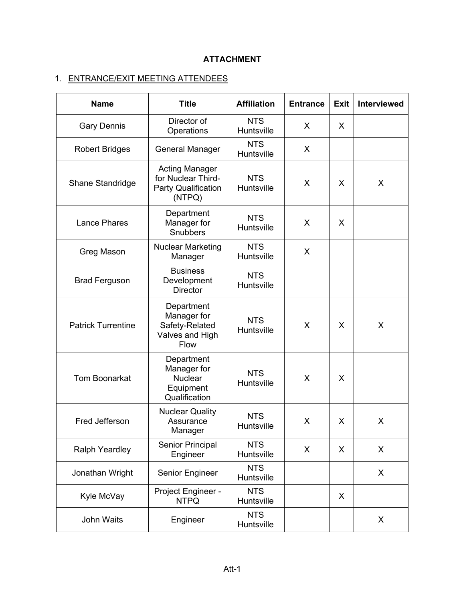# **ATTACHMENT**

# 1. ENTRANCE/EXIT MEETING ATTENDEES

| <b>Name</b>               | <b>Title</b>                                                                 | <b>Affiliation</b>       | <b>Entrance</b> | <b>Exit</b> | <b>Interviewed</b> |
|---------------------------|------------------------------------------------------------------------------|--------------------------|-----------------|-------------|--------------------|
| <b>Gary Dennis</b>        | Director of<br>Operations                                                    | <b>NTS</b><br>Huntsville | X               | X           |                    |
| <b>Robert Bridges</b>     | <b>General Manager</b>                                                       | <b>NTS</b><br>Huntsville | X               |             |                    |
| Shane Standridge          | <b>Acting Manager</b><br>for Nuclear Third-<br>Party Qualification<br>(NTPQ) | <b>NTS</b><br>Huntsville | X               | X           | X                  |
| <b>Lance Phares</b>       | Department<br>Manager for<br>Snubbers                                        | <b>NTS</b><br>Huntsville | X               | X           |                    |
| Greg Mason                | <b>Nuclear Marketing</b><br>Manager                                          | <b>NTS</b><br>Huntsville | X               |             |                    |
| <b>Brad Ferguson</b>      | <b>Business</b><br>Development<br><b>Director</b>                            | <b>NTS</b><br>Huntsville |                 |             |                    |
| <b>Patrick Turrentine</b> | Department<br>Manager for<br>Safety-Related<br>Valves and High<br>Flow       | <b>NTS</b><br>Huntsville | X               | X           | X                  |
| <b>Tom Boonarkat</b>      | Department<br>Manager for<br><b>Nuclear</b><br>Equipment<br>Qualification    | <b>NTS</b><br>Huntsville | X               | X           |                    |
| Fred Jefferson            | <b>Nuclear Quality</b><br>Assurance<br>Manager                               | <b>NTS</b><br>Huntsville | X               | X           | X                  |
| <b>Ralph Yeardley</b>     | <b>Senior Principal</b><br>Engineer                                          | <b>NTS</b><br>Huntsville | X               | X           | X                  |
| Jonathan Wright           | Senior Engineer                                                              | <b>NTS</b><br>Huntsville |                 |             | X                  |
| Kyle McVay                | Project Engineer -<br><b>NTPQ</b>                                            | <b>NTS</b><br>Huntsville |                 | X           |                    |
| John Waits                | Engineer                                                                     | <b>NTS</b><br>Huntsville |                 |             | X                  |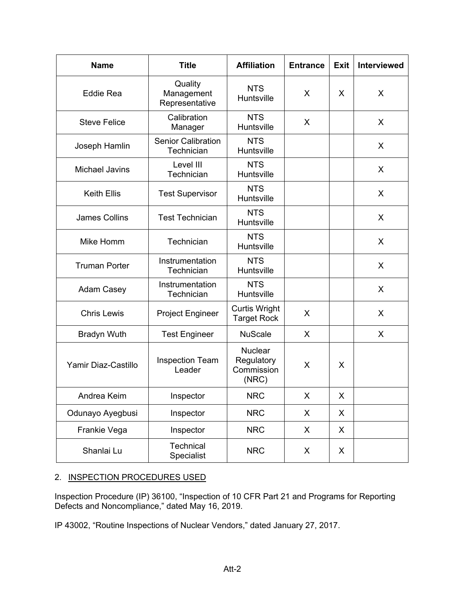| <b>Name</b>           | <b>Title</b>                            | <b>Affiliation</b>                                  | <b>Entrance</b> | <b>Exit</b> | <b>Interviewed</b> |
|-----------------------|-----------------------------------------|-----------------------------------------------------|-----------------|-------------|--------------------|
| <b>Eddie Rea</b>      | Quality<br>Management<br>Representative | <b>NTS</b><br>Huntsville                            | X               | X           | X                  |
| <b>Steve Felice</b>   | Calibration<br>Manager                  | <b>NTS</b><br>Huntsville                            | X               |             | X                  |
| Joseph Hamlin         | <b>Senior Calibration</b><br>Technician | <b>NTS</b><br>Huntsville                            |                 |             | X                  |
| <b>Michael Javins</b> | Level III<br>Technician                 | <b>NTS</b><br>Huntsville                            |                 |             | X                  |
| <b>Keith Ellis</b>    | <b>Test Supervisor</b>                  | <b>NTS</b><br>Huntsville                            |                 |             | X                  |
| <b>James Collins</b>  | <b>Test Technician</b>                  | <b>NTS</b><br>Huntsville                            |                 |             | X                  |
| Mike Homm             | Technician                              | <b>NTS</b><br>Huntsville                            |                 |             | X                  |
| <b>Truman Porter</b>  | Instrumentation<br>Technician           | <b>NTS</b><br>Huntsville                            |                 |             | X                  |
| <b>Adam Casey</b>     | Instrumentation<br>Technician           | <b>NTS</b><br>Huntsville                            |                 |             | $\mathsf{X}$       |
| <b>Chris Lewis</b>    | <b>Project Engineer</b>                 | <b>Curtis Wright</b><br><b>Target Rock</b>          | X               |             | X                  |
| <b>Bradyn Wuth</b>    | <b>Test Engineer</b>                    | <b>NuScale</b>                                      | X               |             | X                  |
| Yamir Diaz-Castillo   | <b>Inspection Team</b><br>Leader        | <b>Nuclear</b><br>Regulatory<br>Commission<br>(NRC) | X               | X           |                    |
| Andrea Keim           | Inspector                               | <b>NRC</b>                                          | X               | X           |                    |
| Odunayo Ayegbusi      | Inspector                               | <b>NRC</b>                                          | X.              | X           |                    |
| Frankie Vega          | Inspector                               | <b>NRC</b>                                          | X.              | X           |                    |
| Shanlai Lu            | Technical<br>Specialist                 | <b>NRC</b>                                          | X               | X           |                    |

# 2. INSPECTION PROCEDURES USED

Inspection Procedure (IP) 36100, "Inspection of 10 CFR Part 21 and Programs for Reporting Defects and Noncompliance," dated May 16, 2019.

IP 43002, "Routine Inspections of Nuclear Vendors," dated January 27, 2017.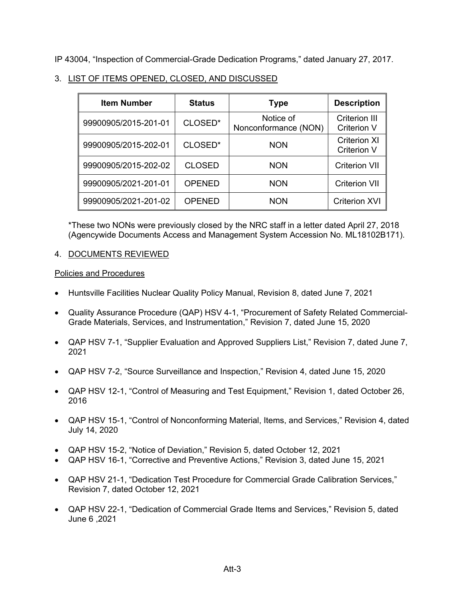IP 43004, "Inspection of Commercial-Grade Dedication Programs," dated January 27, 2017.

| <b>Item Number</b>   | <b>Status</b> | Type                              | <b>Description</b>                         |
|----------------------|---------------|-----------------------------------|--------------------------------------------|
| 99900905/2015-201-01 | CLOSED*       | Notice of<br>Nonconformance (NON) | <b>Criterion III</b><br><b>Criterion V</b> |
| 99900905/2015-202-01 | CLOSED*       | <b>NON</b>                        | <b>Criterion XI</b><br><b>Criterion V</b>  |
| 99900905/2015-202-02 | <b>CLOSED</b> | <b>NON</b>                        | <b>Criterion VII</b>                       |
| 99900905/2021-201-01 | <b>OPENED</b> | <b>NON</b>                        | <b>Criterion VII</b>                       |
| 99900905/2021-201-02 | <b>OPENED</b> | <b>NON</b>                        | <b>Criterion XVI</b>                       |

# 3. LIST OF ITEMS OPENED, CLOSED, AND DISCUSSED

\*These two NONs were previously closed by the NRC staff in a letter dated April 27, 2018 (Agencywide Documents Access and Management System Accession No. ML18102B171).

# 4. DOCUMENTS REVIEWED

# Policies and Procedures

- Huntsville Facilities Nuclear Quality Policy Manual, Revision 8, dated June 7, 2021
- Quality Assurance Procedure (QAP) HSV 4-1, "Procurement of Safety Related Commercial-Grade Materials, Services, and Instrumentation," Revision 7, dated June 15, 2020
- QAP HSV 7-1, "Supplier Evaluation and Approved Suppliers List," Revision 7, dated June 7, 2021
- QAP HSV 7-2, "Source Surveillance and Inspection," Revision 4, dated June 15, 2020
- QAP HSV 12-1, "Control of Measuring and Test Equipment," Revision 1, dated October 26, 2016
- QAP HSV 15-1, "Control of Nonconforming Material, Items, and Services," Revision 4, dated July 14, 2020
- QAP HSV 15-2, "Notice of Deviation," Revision 5, dated October 12, 2021
- QAP HSV 16-1, "Corrective and Preventive Actions," Revision 3, dated June 15, 2021
- QAP HSV 21-1, "Dedication Test Procedure for Commercial Grade Calibration Services," Revision 7, dated October 12, 2021
- QAP HSV 22-1, "Dedication of Commercial Grade Items and Services," Revision 5, dated June 6 ,2021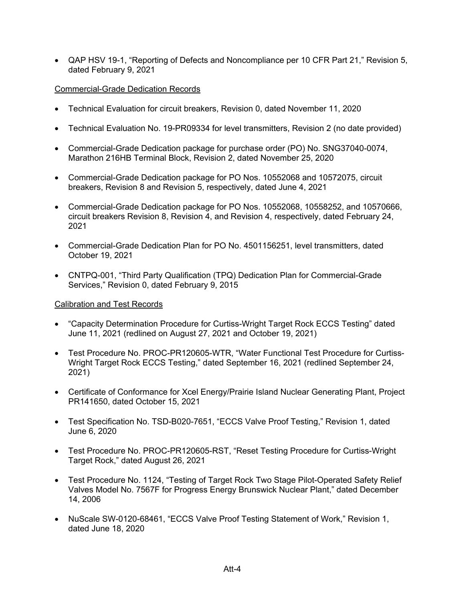QAP HSV 19-1, "Reporting of Defects and Noncompliance per 10 CFR Part 21," Revision 5, dated February 9, 2021

# Commercial-Grade Dedication Records

- Technical Evaluation for circuit breakers, Revision 0, dated November 11, 2020
- Technical Evaluation No. 19-PR09334 for level transmitters, Revision 2 (no date provided)
- Commercial-Grade Dedication package for purchase order (PO) No. SNG37040-0074, Marathon 216HB Terminal Block, Revision 2, dated November 25, 2020
- Commercial-Grade Dedication package for PO Nos. 10552068 and 10572075, circuit breakers, Revision 8 and Revision 5, respectively, dated June 4, 2021
- Commercial-Grade Dedication package for PO Nos. 10552068, 10558252, and 10570666, circuit breakers Revision 8, Revision 4, and Revision 4, respectively, dated February 24, 2021
- Commercial-Grade Dedication Plan for PO No. 4501156251, level transmitters, dated October 19, 2021
- CNTPQ-001, "Third Party Qualification (TPQ) Dedication Plan for Commercial-Grade Services," Revision 0, dated February 9, 2015

# Calibration and Test Records

- "Capacity Determination Procedure for Curtiss-Wright Target Rock ECCS Testing" dated June 11, 2021 (redlined on August 27, 2021 and October 19, 2021)
- Test Procedure No. PROC-PR120605-WTR, "Water Functional Test Procedure for Curtiss-Wright Target Rock ECCS Testing," dated September 16, 2021 (redlined September 24, 2021)
- Certificate of Conformance for Xcel Energy/Prairie Island Nuclear Generating Plant, Project PR141650, dated October 15, 2021
- Test Specification No. TSD-B020-7651, "ECCS Valve Proof Testing," Revision 1, dated June 6, 2020
- Test Procedure No. PROC-PR120605-RST, "Reset Testing Procedure for Curtiss-Wright Target Rock," dated August 26, 2021
- Test Procedure No. 1124, "Testing of Target Rock Two Stage Pilot-Operated Safety Relief Valves Model No. 7567F for Progress Energy Brunswick Nuclear Plant," dated December 14, 2006
- NuScale SW-0120-68461, "ECCS Valve Proof Testing Statement of Work," Revision 1, dated June 18, 2020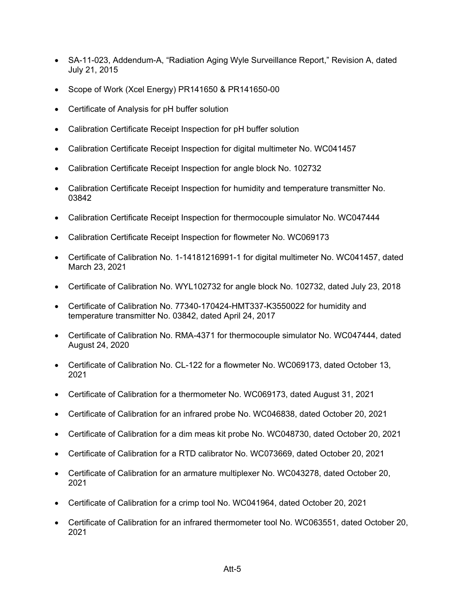- SA-11-023, Addendum-A, "Radiation Aging Wyle Surveillance Report," Revision A, dated July 21, 2015
- Scope of Work (Xcel Energy) PR141650 & PR141650-00
- Certificate of Analysis for pH buffer solution
- Calibration Certificate Receipt Inspection for pH buffer solution
- Calibration Certificate Receipt Inspection for digital multimeter No. WC041457
- Calibration Certificate Receipt Inspection for angle block No. 102732
- Calibration Certificate Receipt Inspection for humidity and temperature transmitter No. 03842
- Calibration Certificate Receipt Inspection for thermocouple simulator No. WC047444
- Calibration Certificate Receipt Inspection for flowmeter No. WC069173
- Certificate of Calibration No. 1-14181216991-1 for digital multimeter No. WC041457, dated March 23, 2021
- Certificate of Calibration No. WYL102732 for angle block No. 102732, dated July 23, 2018
- Certificate of Calibration No. 77340-170424-HMT337-K3550022 for humidity and temperature transmitter No. 03842, dated April 24, 2017
- Certificate of Calibration No. RMA-4371 for thermocouple simulator No. WC047444, dated August 24, 2020
- Certificate of Calibration No. CL-122 for a flowmeter No. WC069173, dated October 13, 2021
- Certificate of Calibration for a thermometer No. WC069173, dated August 31, 2021
- Certificate of Calibration for an infrared probe No. WC046838, dated October 20, 2021
- Certificate of Calibration for a dim meas kit probe No. WC048730, dated October 20, 2021
- Certificate of Calibration for a RTD calibrator No. WC073669, dated October 20, 2021
- Certificate of Calibration for an armature multiplexer No. WC043278, dated October 20, 2021
- Certificate of Calibration for a crimp tool No. WC041964, dated October 20, 2021
- Certificate of Calibration for an infrared thermometer tool No. WC063551, dated October 20, 2021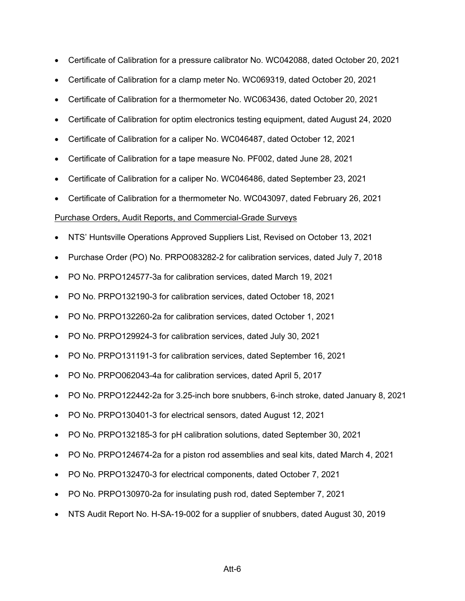- Certificate of Calibration for a pressure calibrator No. WC042088, dated October 20, 2021
- Certificate of Calibration for a clamp meter No. WC069319, dated October 20, 2021
- Certificate of Calibration for a thermometer No. WC063436, dated October 20, 2021
- Certificate of Calibration for optim electronics testing equipment, dated August 24, 2020
- Certificate of Calibration for a caliper No. WC046487, dated October 12, 2021
- Certificate of Calibration for a tape measure No. PF002, dated June 28, 2021
- Certificate of Calibration for a caliper No. WC046486, dated September 23, 2021
- Certificate of Calibration for a thermometer No. WC043097, dated February 26, 2021

#### Purchase Orders, Audit Reports, and Commercial-Grade Surveys

- NTS' Huntsville Operations Approved Suppliers List, Revised on October 13, 2021
- Purchase Order (PO) No. PRPO083282-2 for calibration services, dated July 7, 2018
- PO No. PRPO124577-3a for calibration services, dated March 19, 2021
- PO No. PRPO132190-3 for calibration services, dated October 18, 2021
- PO No. PRPO132260-2a for calibration services, dated October 1, 2021
- PO No. PRPO129924-3 for calibration services, dated July 30, 2021
- PO No. PRPO131191-3 for calibration services, dated September 16, 2021
- PO No. PRPO062043-4a for calibration services, dated April 5, 2017
- PO No. PRPO122442-2a for 3.25-inch bore snubbers, 6-inch stroke, dated January 8, 2021
- PO No. PRPO130401-3 for electrical sensors, dated August 12, 2021
- PO No. PRPO132185-3 for pH calibration solutions, dated September 30, 2021
- PO No. PRPO124674-2a for a piston rod assemblies and seal kits, dated March 4, 2021
- PO No. PRPO132470-3 for electrical components, dated October 7, 2021
- PO No. PRPO130970-2a for insulating push rod, dated September 7, 2021
- NTS Audit Report No. H-SA-19-002 for a supplier of snubbers, dated August 30, 2019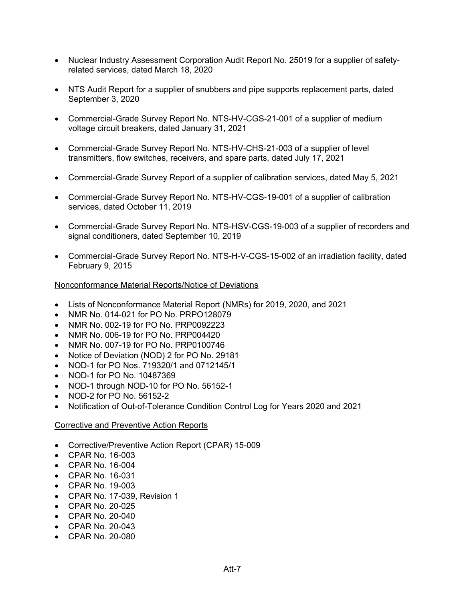- Nuclear Industry Assessment Corporation Audit Report No. 25019 for a supplier of safetyrelated services, dated March 18, 2020
- NTS Audit Report for a supplier of snubbers and pipe supports replacement parts, dated September 3, 2020
- Commercial-Grade Survey Report No. NTS-HV-CGS-21-001 of a supplier of medium voltage circuit breakers, dated January 31, 2021
- Commercial-Grade Survey Report No. NTS-HV-CHS-21-003 of a supplier of level transmitters, flow switches, receivers, and spare parts, dated July 17, 2021
- Commercial-Grade Survey Report of a supplier of calibration services, dated May 5, 2021
- Commercial-Grade Survey Report No. NTS-HV-CGS-19-001 of a supplier of calibration services, dated October 11, 2019
- Commercial-Grade Survey Report No. NTS-HSV-CGS-19-003 of a supplier of recorders and signal conditioners, dated September 10, 2019
- Commercial-Grade Survey Report No. NTS-H-V-CGS-15-002 of an irradiation facility, dated February 9, 2015

# Nonconformance Material Reports/Notice of Deviations

- Lists of Nonconformance Material Report (NMRs) for 2019, 2020, and 2021
- NMR No. 014-021 for PO No. PRPO128079
- NMR No. 002-19 for PO No. PRP0092223
- NMR No. 006-19 for PO No. PRP004420
- NMR No. 007-19 for PO No. PRP0100746
- Notice of Deviation (NOD) 2 for PO No. 29181
- NOD-1 for PO Nos. 719320/1 and 0712145/1
- NOD-1 for PO No. 10487369
- NOD-1 through NOD-10 for PO No. 56152-1
- NOD-2 for PO No. 56152-2
- Notification of Out-of-Tolerance Condition Control Log for Years 2020 and 2021

# Corrective and Preventive Action Reports

- Corrective/Preventive Action Report (CPAR) 15-009
- CPAR No. 16-003
- CPAR No. 16-004
- CPAR No. 16-031
- CPAR No. 19-003
- CPAR No. 17-039, Revision 1
- CPAR No. 20-025
- CPAR No. 20-040
- CPAR No. 20-043
- CPAR No. 20-080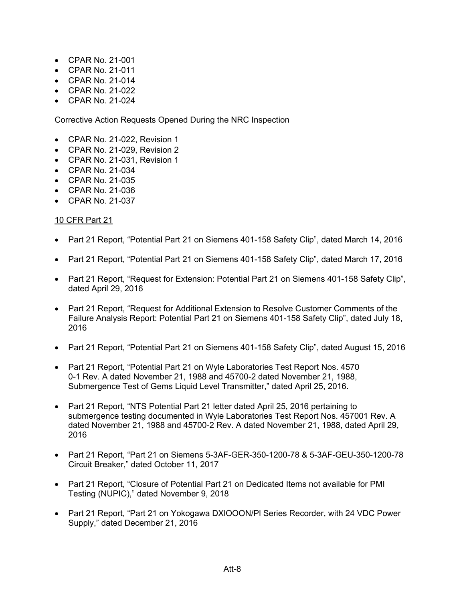- CPAR No. 21-001
- CPAR No. 21-011
- CPAR No. 21-014
- CPAR No. 21-022
- CPAR No. 21-024

# Corrective Action Requests Opened During the NRC Inspection

- CPAR No. 21-022, Revision 1
- CPAR No. 21-029, Revision 2
- CPAR No. 21-031, Revision 1
- CPAR No. 21-034
- CPAR No. 21-035
- CPAR No. 21-036
- CPAR No. 21-037

# 10 CFR Part 21

- Part 21 Report, "Potential Part 21 on Siemens 401-158 Safety Clip", dated March 14, 2016
- Part 21 Report, "Potential Part 21 on Siemens 401-158 Safety Clip", dated March 17, 2016
- Part 21 Report, "Request for Extension: Potential Part 21 on Siemens 401-158 Safety Clip", dated April 29, 2016
- Part 21 Report, "Request for Additional Extension to Resolve Customer Comments of the Failure Analysis Report: Potential Part 21 on Siemens 401-158 Safety Clip", dated July 18, 2016
- Part 21 Report, "Potential Part 21 on Siemens 401-158 Safety Clip", dated August 15, 2016
- Part 21 Report, "Potential Part 21 on Wyle Laboratories Test Report Nos. 4570 0-1 Rev. A dated November 21, 1988 and 45700-2 dated November 21, 1988, Submergence Test of Gems Liquid Level Transmitter," dated April 25, 2016.
- Part 21 Report, "NTS Potential Part 21 letter dated April 25, 2016 pertaining to submergence testing documented in Wyle Laboratories Test Report Nos. 457001 Rev. A dated November 21, 1988 and 45700-2 Rev. A dated November 21, 1988, dated April 29, 2016
- Part 21 Report, "Part 21 on Siemens 5-3AF-GER-350-1200-78 & 5-3AF-GEU-350-1200-78 Circuit Breaker," dated October 11, 2017
- Part 21 Report, "Closure of Potential Part 21 on Dedicated Items not available for PMI Testing (NUPIC)," dated November 9, 2018
- Part 21 Report, "Part 21 on Yokogawa DXIOOON/PI Series Recorder, with 24 VDC Power Supply," dated December 21, 2016